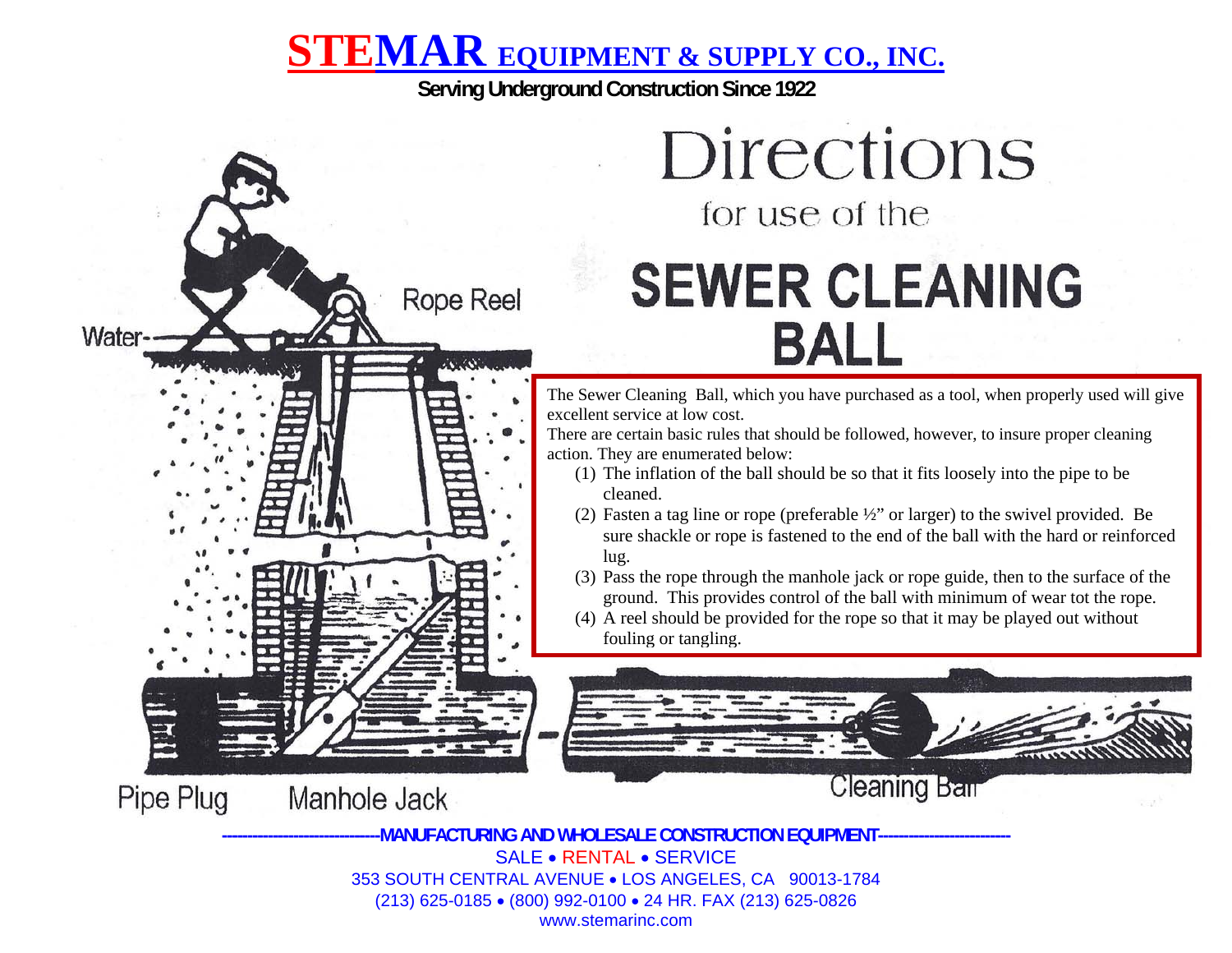# **STEMAR EQUIPMENT & SUPPLY CO., INC.**

**Serving Underground Construction Since 1922** 



The Sewer Cleaning Ball, which you have purchased as a tool, when properly used will give excellent service at low cost.

There are certain basic rules that should be followed, however, to insure proper cleaning action. They are enumerated below:

- (1) The inflation of the ball should be so that it fits loosely into the pipe to be cleaned.
- (2) Fasten a tag line or rope (preferable ½" or larger) to the swivel provided. Be sure shackle or rope is fastened to the end of the ball with the hard or reinforced lug.
- (3) Pass the rope through the manhole jack or rope guide, then to the surface of the ground. This provides control of the ball with minimum of wear tot the rope.
- (4) A reel should be provided for the rope so that it may be played out without fouling or tangling.





Water

Manhole Jack

**Rope Reel** 

**-------------------------------MANUFACTURING AND WHOLESALE CONSTRUCTION EQUIPMENT--------------------------** SALE • RENTAL • SERVICE 353 SOUTH CENTRAL AVENUE • LOS ANGELES, CA 90013-1784 (213) 625-0185 • (800) 992-0100 • 24 HR. FAX (213) 625-0826 www.stemarinc.com